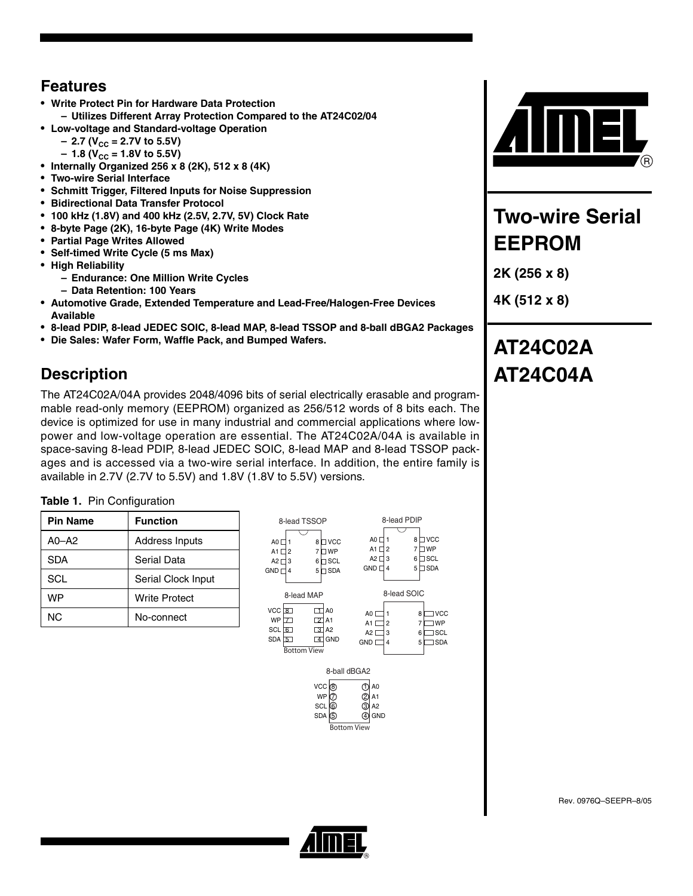## **Features**

- **Write Protect Pin for Hardware Data Protection – Utilizes Different Array Protection Compared to the AT24C02/04**
- **Low-voltage and Standard-voltage Operation**
	- 2.7 (V<sub>CC</sub> = 2.7V to 5.5V)
		- 1.8 (V<sub>CC</sub> = 1.8V to 5.5V)
- **Internally Organized 256 x 8 (2K), 512 x 8 (4K)**
- **Two-wire Serial Interface**
- **Schmitt Trigger, Filtered Inputs for Noise Suppression**
- **Bidirectional Data Transfer Protocol**
- **100 kHz (1.8V) and 400 kHz (2.5V, 2.7V, 5V) Clock Rate**
- **8-byte Page (2K), 16-byte Page (4K) Write Modes**
- **Partial Page Writes Allowed**
- **Self-timed Write Cycle (5 ms Max)**
- **High Reliability**
	- **Endurance: One Million Write Cycles**
	- **Data Retention: 100 Years**
- **Automotive Grade, Extended Temperature and Lead-Free/Halogen-Free Devices Available**
- **8-lead PDIP, 8-lead JEDEC SOIC, 8-lead MAP, 8-lead TSSOP and 8-ball dBGA2 Packages**
- **Die Sales: Wafer Form, Waffle Pack, and Bumped Wafers.**

# **Description**

The AT24C02A/04A provides 2048/4096 bits of serial electrically erasable and programmable read-only memory (EEPROM) organized as 256/512 words of 8 bits each. The device is optimized for use in many industrial and commercial applications where lowpower and low-voltage operation are essential. The AT24C02A/04A is available in space-saving 8-lead PDIP, 8-lead JEDEC SOIC, 8-lead MAP and 8-lead TSSOP packages and is accessed via a two-wire serial interface. In addition, the entire family is available in 2.7V (2.7V to 5.5V) and 1.8V (1.8V to 5.5V) versions.

|  | Table 1. Pin Configuration |
|--|----------------------------|
|--|----------------------------|

| <b>Pin Name</b> | <b>Function</b>      |
|-----------------|----------------------|
| $A0 - A2$       | Address Inputs       |
| <b>SDA</b>      | Serial Data          |
| <b>SCL</b>      | Serial Clock Input   |
| <b>WP</b>       | <b>Write Protect</b> |
| NC.             | No-connect           |





# **Two-wire Serial EEPROM**

**2K (256 x 8)**

**4K (512 x 8)**

# **AT24C02A AT24C04A**

Rev. 0976Q–SEEPR–8/05

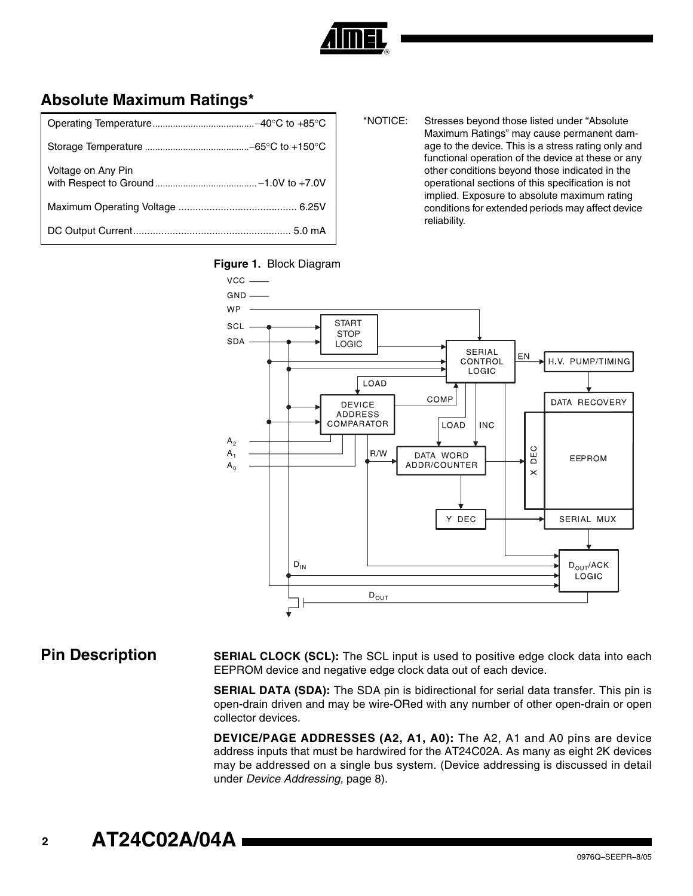

## **Absolute Maximum Ratings\***

| Voltage on Any Pin |
|--------------------|
|                    |
|                    |

\*NOTICE: Stresses beyond those listed under "Absolute Maximum Ratings" may cause permanent damage to the device. This is a stress rating only and functional operation of the device at these or any other conditions beyond those indicated in the operational sections of this specification is not implied. Exposure to absolute maximum rating conditions for extended periods may affect device reliability.





**Pin Description SERIAL CLOCK (SCL):** The SCL input is used to positive edge clock data into each EEPROM device and negative edge clock data out of each device.

> **SERIAL DATA (SDA):** The SDA pin is bidirectional for serial data transfer. This pin is open-drain driven and may be wire-ORed with any number of other open-drain or open collector devices.

> **DEVICE/PAGE ADDRESSES (A2, A1, A0):** The A2, A1 and A0 pins are device address inputs that must be hardwired for the AT24C02A. As many as eight 2K devices may be addressed on a single bus system. (Device addressing is discussed in detail under *Device Addressing,* [page 8\)](#page-7-0).

**<sup>2</sup> AT24C02A/04A**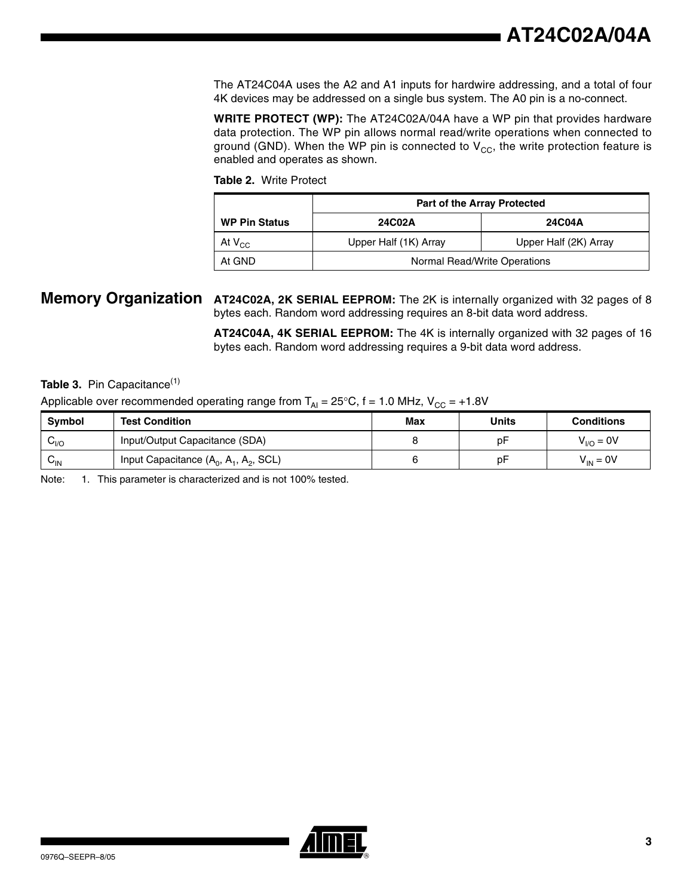The AT24C04A uses the A2 and A1 inputs for hardwire addressing, and a total of four 4K devices may be addressed on a single bus system. The A0 pin is a no-connect.

**WRITE PROTECT (WP):** The AT24C02A/04A have a WP pin that provides hardware data protection. The WP pin allows normal read/write operations when connected to ground (GND). When the WP pin is connected to  $V_{CC}$ , the write protection feature is enabled and operates as shown.

**Table 2.** Write Protect

|                      | <b>Part of the Array Protected</b> |                       |  |
|----------------------|------------------------------------|-----------------------|--|
| <b>WP Pin Status</b> | 24C02A                             | 24C04A                |  |
| At $V_{CC}$          | Upper Half (1K) Array              | Upper Half (2K) Array |  |
| At GND               | Normal Read/Write Operations       |                       |  |

## **Memory Organization AT24C02A, 2K SERIAL EEPROM:** The 2K is internally organized with 32 pages of 8 bytes each. Random word addressing requires an 8-bit data word address.

**AT24C04A, 4K SERIAL EEPROM:** The 4K is internally organized with 32 pages of 16 bytes each. Random word addressing requires a 9-bit data word address.

## Table 3. Pin Capacitance<sup>(1)</sup>

## Applicable over recommended operating range from  $T_{Al} = 25^{\circ}C$ , f = 1.0 MHz,  $V_{CC} = +1.8V$

| <b>Symbol</b>              | <b>Test Condition</b>                    | Max | Units | <b>Conditions</b> |
|----------------------------|------------------------------------------|-----|-------|-------------------|
| $v_{VQ}$                   | Input/Output Capacitance (SDA)           |     | рF    | $V_{VQ} = 0V$     |
| $\mathsf{v}_{\mathsf{IN}}$ | Input Capacitance $(A_0, A_1, A_2, SCL)$ |     | рF    | $V_{IN} = 0V$     |

Note: 1. This parameter is characterized and is not 100% tested.

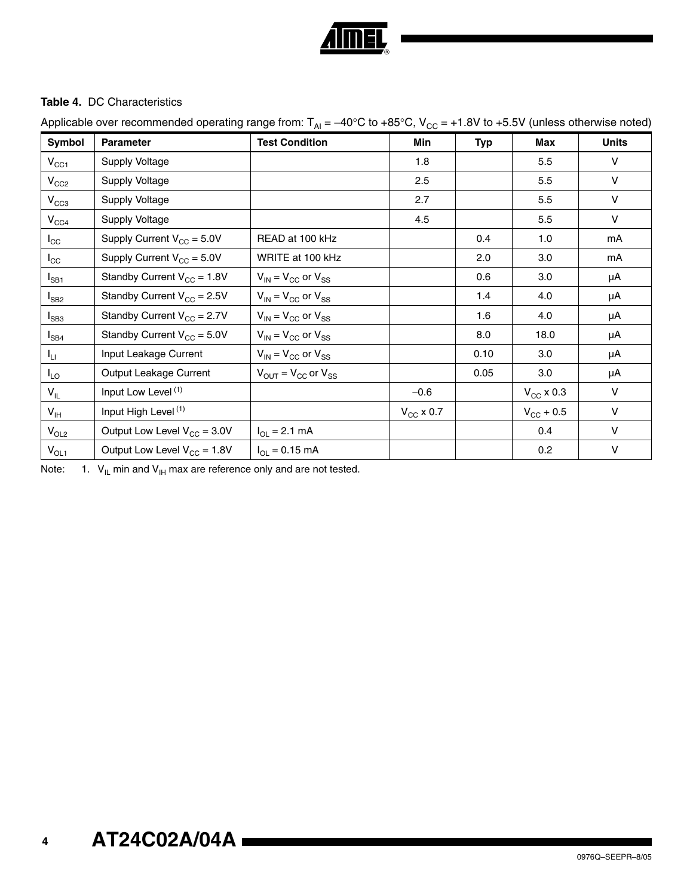

## **Table 4.** DC Characteristics

Applicable over recommended operating range from:  $T_{Al} = -40^{\circ}C$  to +85°C,  $V_{CC} = +1.8V$  to +5.5V (unless otherwise noted)

| Symbol          | <b>Parameter</b>                 | <b>Test Condition</b>           | Min            | <b>Typ</b> | <b>Max</b>            | <b>Units</b> |
|-----------------|----------------------------------|---------------------------------|----------------|------------|-----------------------|--------------|
| $V_{CC1}$       | Supply Voltage                   |                                 | 1.8            |            | 5.5                   | V            |
| $V_{CC2}$       | Supply Voltage                   |                                 | 2.5            |            | 5.5                   | $\vee$       |
| $V_{CC3}$       | Supply Voltage                   |                                 | 2.7            |            | 5.5                   | v            |
| $V_{CC4}$       | Supply Voltage                   |                                 | 4.5            |            | 5.5                   | V            |
| $I_{\rm CC}$    | Supply Current $V_{CC} = 5.0V$   | READ at 100 kHz                 |                | 0.4        | 1.0                   | mA           |
| $I_{\rm CC}$    | Supply Current $V_{CC} = 5.0V$   | WRITE at 100 kHz                |                | 2.0        | 3.0                   | mA           |
| $I_{SB1}$       | Standby Current $V_{CC} = 1.8V$  | $V_{IN}$ = $V_{CC}$ or $V_{SS}$ |                | 0.6        | 3.0                   | μA           |
| $I_{SB2}$       | Standby Current $V_{CC} = 2.5V$  | $V_{IN} = V_{CC}$ or $V_{SS}$   |                | 1.4        | 4.0                   | μA           |
| $I_{SB3}$       | Standby Current $V_{CC} = 2.7V$  | $V_{IN}$ = $V_{CC}$ or $V_{SS}$ |                | 1.6        | 4.0                   | μA           |
| $I_{SB4}$       | Standby Current $V_{CC} = 5.0V$  | $V_{IN}$ = $V_{CC}$ or $V_{SS}$ |                | 8.0        | 18.0                  | μA           |
| Ιu.             | Input Leakage Current            | $V_{IN}$ = $V_{CC}$ or $V_{SS}$ |                | 0.10       | 3.0                   | μA           |
| $I_{LO}$        | Output Leakage Current           | $V_{OUIT} = V_{CC}$ or $V_{SS}$ |                | 0.05       | 3.0                   | μA           |
| $V_{IL}$        | Input Low Level (1)              |                                 | $-0.6$         |            | $V_{\text{CC}}$ x 0.3 | V            |
| $V_{\text{IH}}$ | Input High Level <sup>(1)</sup>  |                                 | $V_{CC}$ x 0.7 |            | $V_{\rm CC}$ + 0.5    | V            |
| $V_{OL2}$       | Output Low Level $V_{CC} = 3.0V$ | $I_{OL} = 2.1$ mA               |                |            | 0.4                   | $\vee$       |
| $V_{OL1}$       | Output Low Level $V_{CC} = 1.8V$ | $I_{OL} = 0.15$ mA              |                |            | 0.2                   | V            |

Note: 1.  $V_{\parallel}$  min and  $V_{\parallel H}$  max are reference only and are not tested.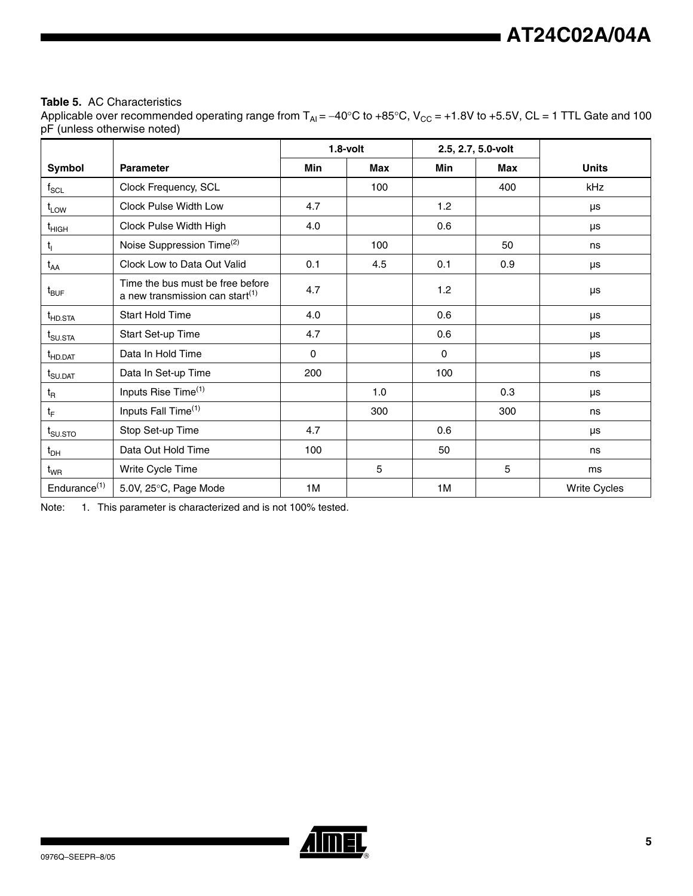## **Table 5.** AC Characteristics

Applicable over recommended operating range from  $T_{Al} = -40^{\circ}$ C to +85°C, V<sub>CC</sub> = +1.8V to +5.5V, CL = 1 TTL Gate and 100 pF (unless otherwise noted)

|                          |                                                                                 | $1.8$ -volt |            | 2.5, 2.7, 5.0-volt |            |                     |
|--------------------------|---------------------------------------------------------------------------------|-------------|------------|--------------------|------------|---------------------|
| Symbol                   | <b>Parameter</b>                                                                | <b>Min</b>  | <b>Max</b> | Min                | <b>Max</b> | <b>Units</b>        |
| $f_{\rm SCL}$            | Clock Frequency, SCL                                                            |             | 100        |                    | 400        | kHz                 |
| $t_{LOW}$                | Clock Pulse Width Low                                                           | 4.7         |            | 1.2                |            | μs                  |
| $t_{HIGH}$               | Clock Pulse Width High                                                          | 4.0         |            | 0.6                |            | μs                  |
| $t_{\rm I}$              | Noise Suppression Time <sup>(2)</sup>                                           |             | 100        |                    | 50         | ns                  |
| $t_{AA}$                 | Clock Low to Data Out Valid                                                     | 0.1         | 4.5        | 0.1                | 0.9        | μs                  |
| $t_{\mathsf{BUF}}$       | Time the bus must be free before<br>a new transmission can start <sup>(1)</sup> | 4.7         |            | 1.2                |            | μs                  |
| t <sub>HD.STA</sub>      | <b>Start Hold Time</b>                                                          | 4.0         |            | 0.6                |            | μs                  |
| $t_{\text{SU,STA}}$      | Start Set-up Time                                                               | 4.7         |            | 0.6                |            | μs                  |
| $t_{HD, DAT}$            | Data In Hold Time                                                               | $\Omega$    |            | $\mathbf{0}$       |            | μs                  |
| $t_{\text{SU.DAT}}$      | Data In Set-up Time                                                             | 200         |            | 100                |            | ns                  |
| $t_{\mathsf{R}}$         | Inputs Rise Time <sup>(1)</sup>                                                 |             | 1.0        |                    | 0.3        | μs                  |
| $t_{\rm F}$              | Inputs Fall Time <sup>(1)</sup>                                                 |             | 300        |                    | 300        | ns                  |
| $t_{\text{SUSTO}}$       | Stop Set-up Time                                                                | 4.7         |            | 0.6                |            | μs                  |
| $t_{DH}$                 | Data Out Hold Time                                                              | 100         |            | 50                 |            | ns                  |
| $t_{WR}$                 | Write Cycle Time                                                                |             | 5          |                    | 5          | ms                  |
| Endurance <sup>(1)</sup> | 5.0V, 25°C, Page Mode                                                           | 1M          |            | 1M                 |            | <b>Write Cycles</b> |

<span id="page-4-0"></span>Note: 1. This parameter is characterized and is not 100% tested.

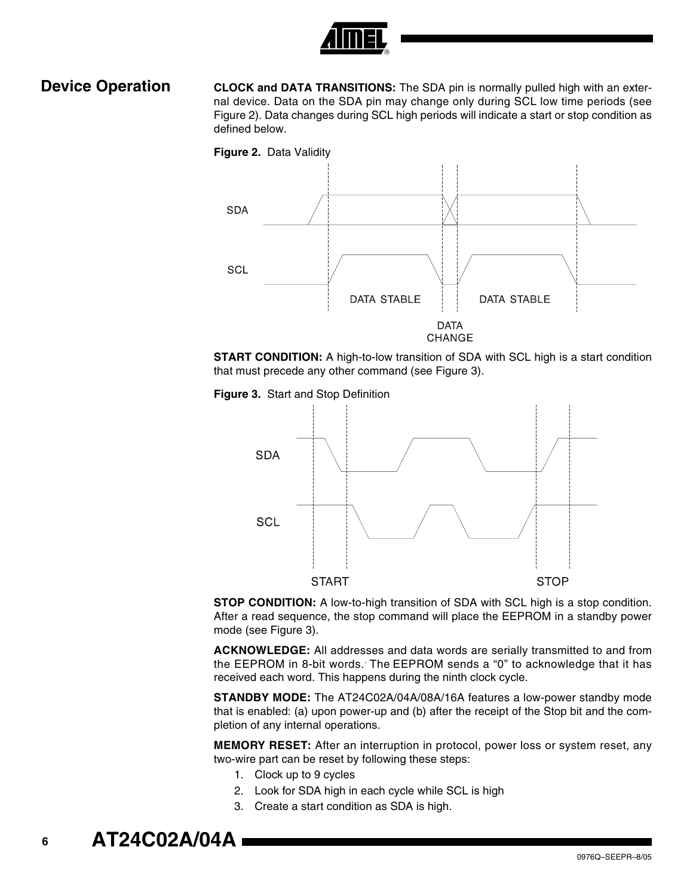

**Device Operation CLOCK and DATA TRANSITIONS:** The SDA pin is normally pulled high with an external device. Data on the SDA pin may change only during SCL low time periods (see [Figure 2](#page-5-0)). Data changes during SCL high periods will indicate a start or stop condition as defined below.

<span id="page-5-0"></span>





<span id="page-5-1"></span>



**STOP CONDITION:** A low-to-high transition of SDA with SCL high is a stop condition. After a read sequence, the stop command will place the EEPROM in a standby power mode (see [Figure 3\)](#page-5-1).

**ACKNOWLEDGE:** All addresses and data words are serially transmitted to and from the EEPROM in 8-bit words. The EEPROM sends a "0" to acknowledge that it has received each word. This happens during the ninth clock cycle.

**STANDBY MODE:** The AT24C02A/04A/08A/16A features a low-power standby mode that is enabled: (a) upon power-up and (b) after the receipt of the Stop bit and the completion of any internal operations.

**MEMORY RESET:** After an interruption in protocol, power loss or system reset, any two-wire part can be reset by following these steps:

- 1. Clock up to 9 cycles
- 2. Look for SDA high in each cycle while SCL is high
- 3. Create a start condition as SDA is high.

**<sup>6</sup> AT24C02A/04A**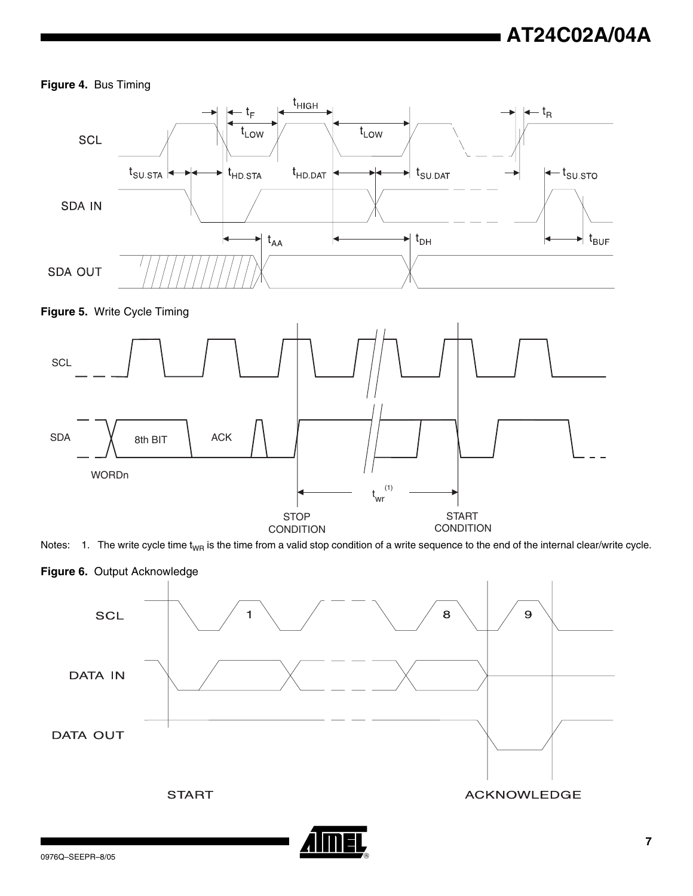## **Figure 4.** Bus Timing







WORDn

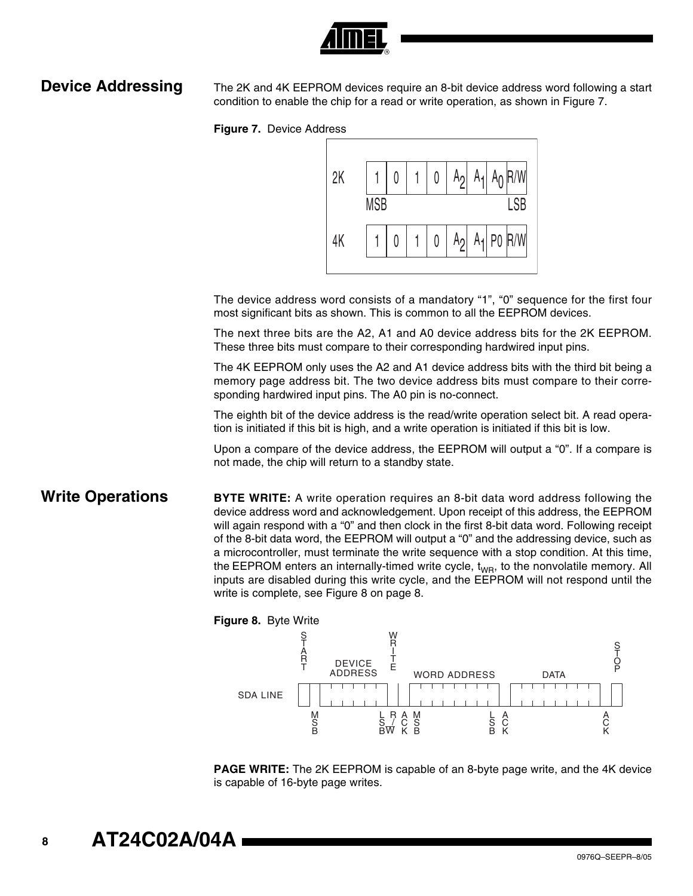

<span id="page-7-0"></span>**Device Addressing** The 2K and 4K EEPROM devices require an 8-bit device address word following a start condition to enable the chip for a read or write operation, as shown in Figure 7.





The device address word consists of a mandatory "1", "0" sequence for the first four most significant bits as shown. This is common to all the EEPROM devices.

The next three bits are the A2, A1 and A0 device address bits for the 2K EEPROM. These three bits must compare to their corresponding hardwired input pins.

The 4K EEPROM only uses the A2 and A1 device address bits with the third bit being a memory page address bit. The two device address bits must compare to their corresponding hardwired input pins. The A0 pin is no-connect.

The eighth bit of the device address is the read/write operation select bit. A read operation is initiated if this bit is high, and a write operation is initiated if this bit is low.

Upon a compare of the device address, the EEPROM will output a "0". If a compare is not made, the chip will return to a standby state.

**Write Operations BYTE WRITE:** A write operation requires an 8-bit data word address following the device address word and acknowledgement. Upon receipt of this address, the EEPROM will again respond with a "0" and then clock in the first 8-bit data word. Following receipt of the 8-bit data word, the EEPROM will output a "0" and the addressing device, such as a microcontroller, must terminate the write sequence with a stop condition. At this time, the EEPROM enters an internally-timed write cycle,  $t_{WR}$ , to the nonvolatile memory. All inputs are disabled during this write cycle, and the EEPROM will not respond until the write is complete, see Figure 8 on page 8.



**PAGE WRITE:** The 2K EEPROM is capable of an 8-byte page write, and the 4K device is capable of 16-byte page writes.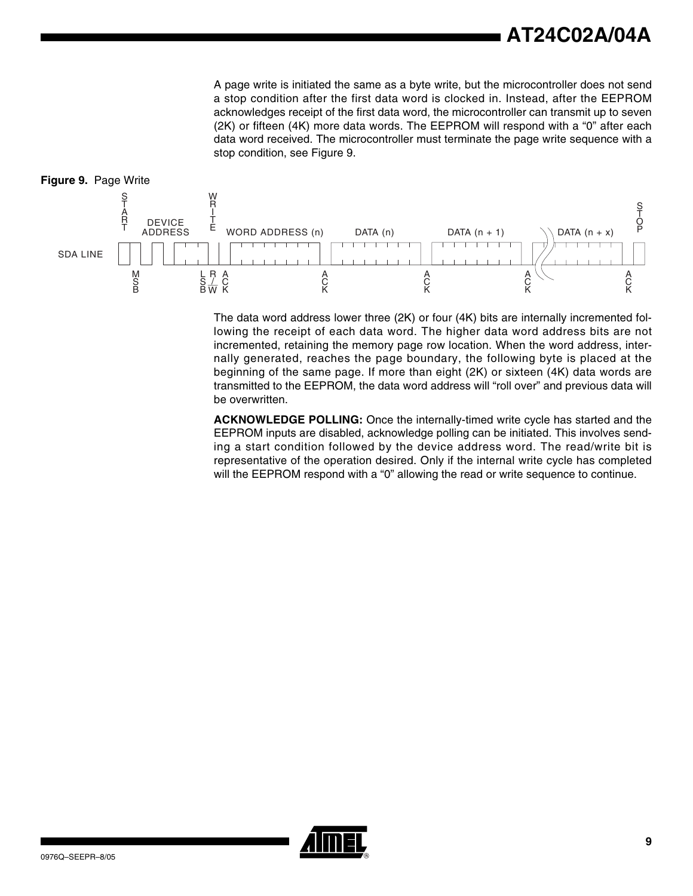A page write is initiated the same as a byte write, but the microcontroller does not send a stop condition after the first data word is clocked in. Instead, after the EEPROM acknowledges receipt of the first data word, the microcontroller can transmit up to seven (2K) or fifteen (4K) more data words. The EEPROM will respond with a "0" after each data word received. The microcontroller must terminate the page write sequence with a stop condition, see Figure 9.



The data word address lower three (2K) or four (4K) bits are internally incremented following the receipt of each data word. The higher data word address bits are not incremented, retaining the memory page row location. When the word address, internally generated, reaches the page boundary, the following byte is placed at the beginning of the same page. If more than eight (2K) or sixteen (4K) data words are transmitted to the EEPROM, the data word address will "roll over" and previous data will be overwritten.

**ACKNOWLEDGE POLLING:** Once the internally-timed write cycle has started and the EEPROM inputs are disabled, acknowledge polling can be initiated. This involves sending a start condition followed by the device address word. The read/write bit is representative of the operation desired. Only if the internal write cycle has completed will the EEPROM respond with a "0" allowing the read or write sequence to continue.

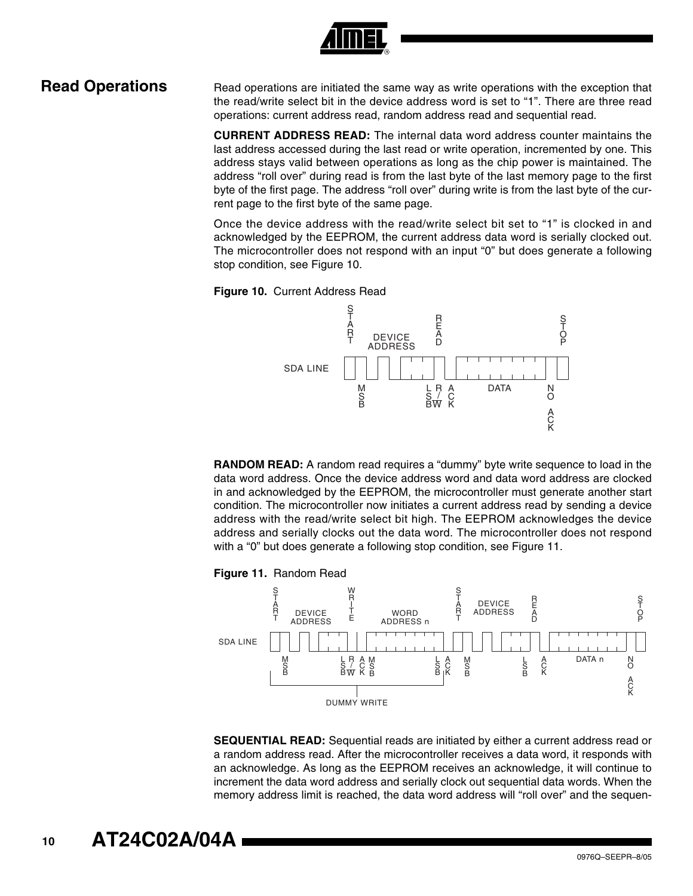

**Read Operations** Read operations are initiated the same way as write operations with the exception that the read/write select bit in the device address word is set to "1". There are three read operations: current address read, random address read and sequential read.

> **CURRENT ADDRESS READ:** The internal data word address counter maintains the last address accessed during the last read or write operation, incremented by one. This address stays valid between operations as long as the chip power is maintained. The address "roll over" during read is from the last byte of the last memory page to the first byte of the first page. The address "roll over" during write is from the last byte of the current page to the first byte of the same page.

> Once the device address with the read/write select bit set to "1" is clocked in and acknowledged by the EEPROM, the current address data word is serially clocked out. The microcontroller does not respond with an input "0" but does generate a following stop condition, see Figure 10.





**RANDOM READ:** A random read requires a "dummy" byte write sequence to load in the data word address. Once the device address word and data word address are clocked in and acknowledged by the EEPROM, the microcontroller must generate another start condition. The microcontroller now initiates a current address read by sending a device address with the read/write select bit high. The EEPROM acknowledges the device address and serially clocks out the data word. The microcontroller does not respond with a "0" but does generate a following stop condition, see Figure 11.





**SEQUENTIAL READ:** Sequential reads are initiated by either a current address read or a random address read. After the microcontroller receives a data word, it responds with an acknowledge. As long as the EEPROM receives an acknowledge, it will continue to increment the data word address and serially clock out sequential data words. When the memory address limit is reached, the data word address will "roll over" and the sequen-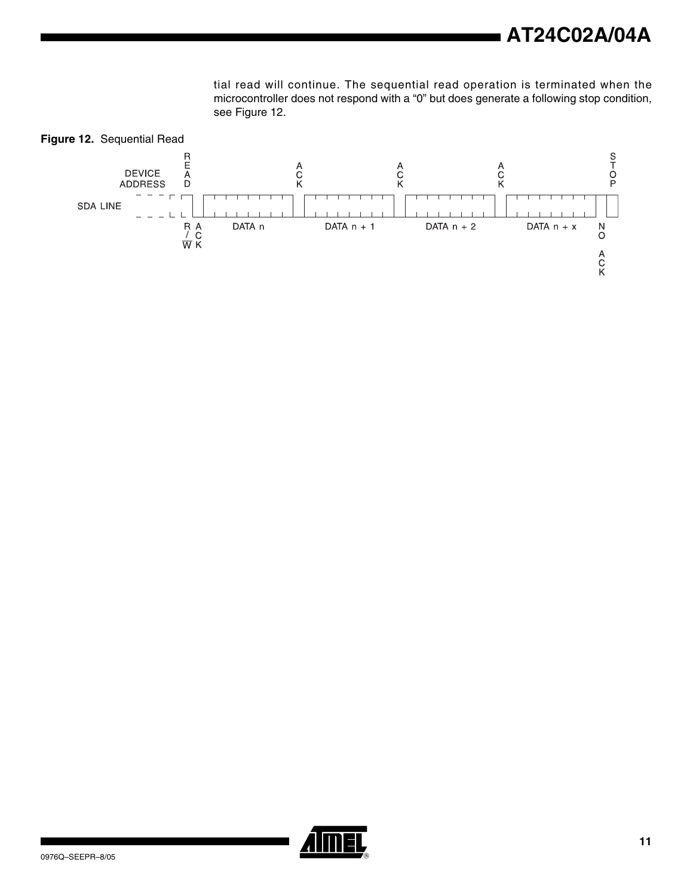tial read will continue. The sequential read operation is terminated when the microcontroller does not respond with a "0" but does generate a following stop condition, see [Figure 12](#page-10-0).

<span id="page-10-0"></span>

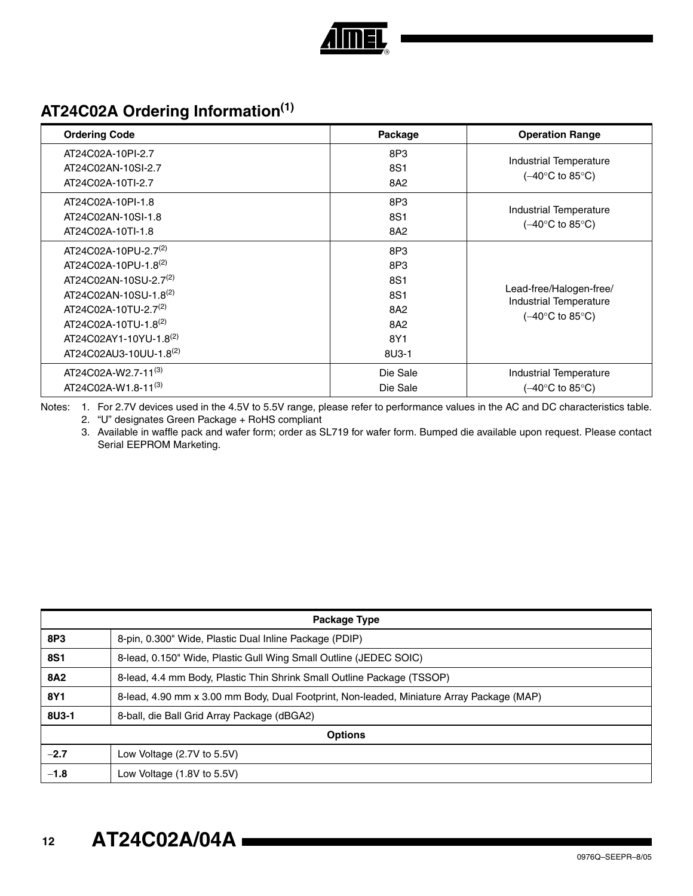

# **AT24C02A Ordering Information(1)**

| <b>Ordering Code</b>              | Package  | <b>Operation Range</b>                            |
|-----------------------------------|----------|---------------------------------------------------|
| AT24C02A-10PI-2.7                 | 8P3      |                                                   |
| AT24C02AN-10SI-2.7                | 8S1      | Industrial Temperature                            |
| AT24C02A-10TI-2.7                 | 8A2      | (–40°C to 85°C)                                   |
| AT24C02A-10PI-1.8                 | 8P3      |                                                   |
| AT24C02AN-10SI-1.8                | 8S1      | Industrial Temperature                            |
| AT24C02A-10TI-1.8                 | 8A2      | (–40°C to 85°C)                                   |
| AT24C02A-10PU-2.7 <sup>(2)</sup>  | 8P3      |                                                   |
| AT24C02A-10PU-1.8(2)              | 8P3      |                                                   |
| AT24C02AN-10SU-2.7 <sup>(2)</sup> | 8S1      |                                                   |
| AT24C02AN-10SU-1.8(2)             | 8S1      | Lead-free/Halogen-free/<br>Industrial Temperature |
| AT24C02A-10TU-2.7 <sup>(2)</sup>  | 8A2      | (–40°C to 85°C)                                   |
| AT24C02A-10TU-1.8(2)              | 8A2      |                                                   |
| AT24C02AY1-10YU-1.8(2)            | 8Y1      |                                                   |
| AT24C02AU3-10UU-1.8(2)            | 8U3-1    |                                                   |
| AT24C02A-W2.7-11 <sup>(3)</sup>   | Die Sale | Industrial Temperature                            |
| AT24C02A-W1.8-11 <sup>(3)</sup>   | Die Sale | $(-40^{\circ}$ C to 85 $^{\circ}$ C)              |

Notes: 1. For 2.7V devices used in the 4.5V to 5.5V range, please refer to performance values in the AC and DC characteristics table.

2. "U" designates Green Package + RoHS compliant

3. Available in waffle pack and wafer form; order as SL719 for wafer form. Bumped die available upon request. Please contact Serial EEPROM Marketing.

|            | Package Type                                                                              |  |  |
|------------|-------------------------------------------------------------------------------------------|--|--|
| 8P3        | 8-pin, 0.300" Wide, Plastic Dual Inline Package (PDIP)                                    |  |  |
| <b>8S1</b> | 8-lead, 0.150" Wide, Plastic Gull Wing Small Outline (JEDEC SOIC)                         |  |  |
| <b>8A2</b> | 8-lead, 4.4 mm Body, Plastic Thin Shrink Small Outline Package (TSSOP)                    |  |  |
| 8Y1        | 8-lead, 4.90 mm x 3.00 mm Body, Dual Footprint, Non-leaded, Miniature Array Package (MAP) |  |  |
| 8U3-1      | 8-ball, die Ball Grid Array Package (dBGA2)                                               |  |  |
|            | <b>Options</b>                                                                            |  |  |
| $-2.7$     | Low Voltage $(2.7V)$ to 5.5V)                                                             |  |  |
| $-1.8$     | Low Voltage (1.8V to 5.5V)                                                                |  |  |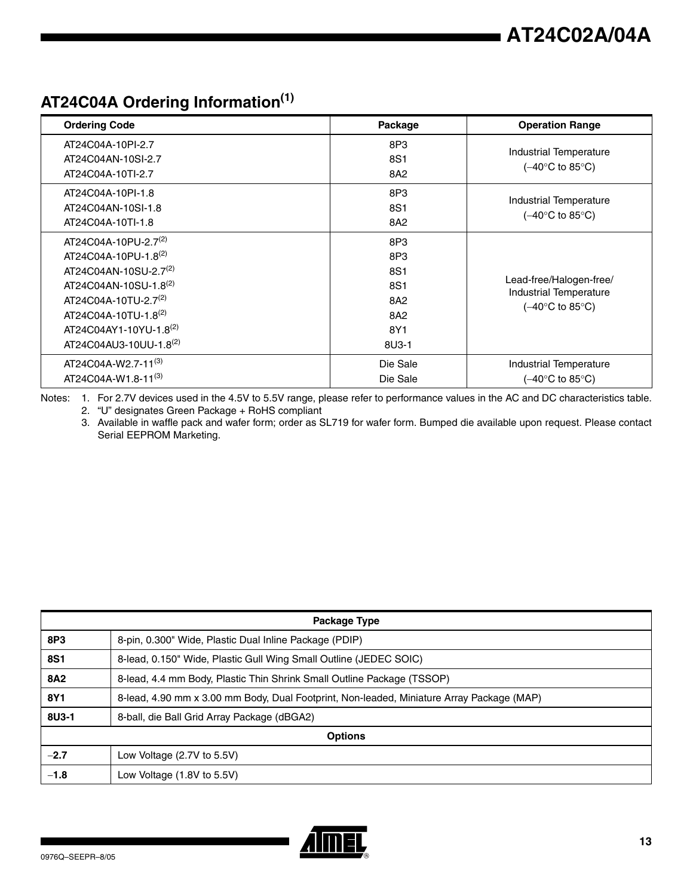# **AT24C04A Ordering Information(1)**

| <b>Ordering Code</b>              | Package         | <b>Operation Range</b>                                             |
|-----------------------------------|-----------------|--------------------------------------------------------------------|
| AT24C04A-10PI-2.7                 | 8P3             |                                                                    |
| AT24C04AN-10SI-2.7                | 8S1             | Industrial Temperature<br>$(-40^{\circ}C \text{ to } 85^{\circ}C)$ |
| AT24C04A-10TI-2.7                 | 8A2             |                                                                    |
| AT24C04A-10PI-1.8                 | 8P <sub>3</sub> |                                                                    |
| AT24C04AN-10SI-1.8                | 8S1             | Industrial Temperature                                             |
| AT24C04A-10TI-1.8                 | 8A2             | $(-40^{\circ}$ C to 85 $^{\circ}$ C)                               |
| AT24C04A-10PU-2.7 <sup>(2)</sup>  | 8P3             |                                                                    |
| AT24C04A-10PU-1.8(2)              | 8P3             |                                                                    |
| AT24C04AN-10SU-2.7 <sup>(2)</sup> | 8S1             |                                                                    |
| AT24C04AN-10SU-1.8 <sup>(2)</sup> | 8S1             | Lead-free/Halogen-free/<br><b>Industrial Temperature</b>           |
| AT24C04A-10TU-2.7 <sup>(2)</sup>  | 8A2             | $(-40^{\circ}C \text{ to } 85^{\circ}C)$                           |
| AT24C04A-10TU-1.8 <sup>(2)</sup>  | 8A2             |                                                                    |
| AT24C04AY1-10YU-1.8(2)            | 8Y1             |                                                                    |
| AT24C04AU3-10UU-1.8(2)            | 8U3-1           |                                                                    |
| AT24C04A-W2.7-11 <sup>(3)</sup>   | Die Sale        | Industrial Temperature                                             |
| AT24C04A-W1.8-11 <sup>(3)</sup>   | Die Sale        | $(-40^{\circ}$ C to 85 $^{\circ}$ C)                               |

Notes: 1. For 2.7V devices used in the 4.5V to 5.5V range, please refer to performance values in the AC and DC characteristics table. 2. "U" designates Green Package + RoHS compliant

3. Available in waffle pack and wafer form; order as SL719 for wafer form. Bumped die available upon request. Please contact Serial EEPROM Marketing.

| Package Type |                                                                                           |  |  |
|--------------|-------------------------------------------------------------------------------------------|--|--|
| 8P3          | 8-pin, 0.300" Wide, Plastic Dual Inline Package (PDIP)                                    |  |  |
| <b>8S1</b>   | 8-lead, 0.150" Wide, Plastic Gull Wing Small Outline (JEDEC SOIC)                         |  |  |
| <b>8A2</b>   | 8-lead, 4.4 mm Body, Plastic Thin Shrink Small Outline Package (TSSOP)                    |  |  |
| 8Y1          | 8-lead, 4.90 mm x 3.00 mm Body, Dual Footprint, Non-leaded, Miniature Array Package (MAP) |  |  |
| 8U3-1        | 8-ball, die Ball Grid Array Package (dBGA2)                                               |  |  |
|              | <b>Options</b>                                                                            |  |  |
| $-2.7$       | Low Voltage (2.7V to 5.5V)                                                                |  |  |
| $-1.8$       | Low Voltage (1.8V to 5.5V)                                                                |  |  |

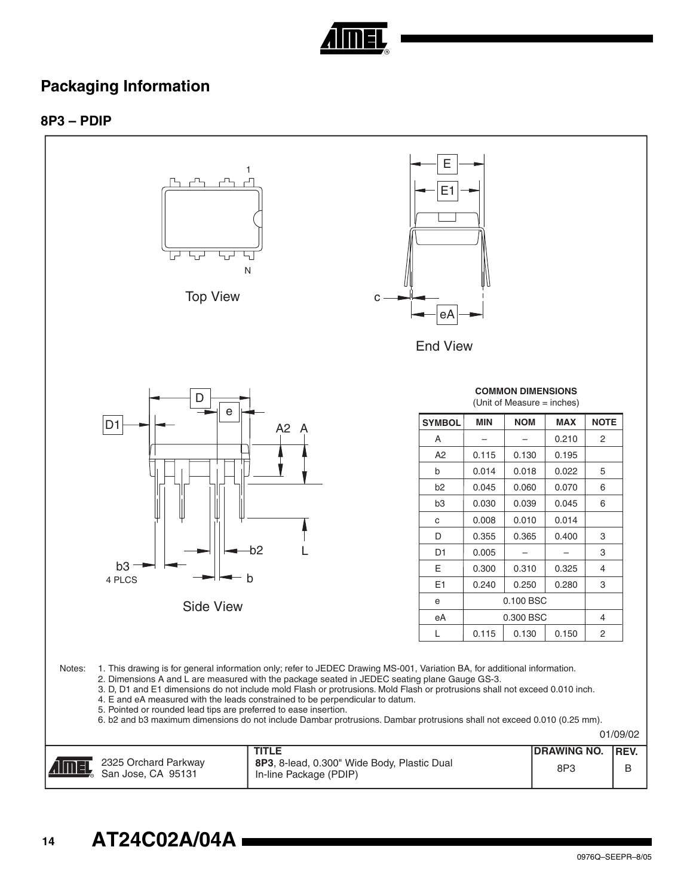

## **Packaging Information**

## **8P3 – PDIP**

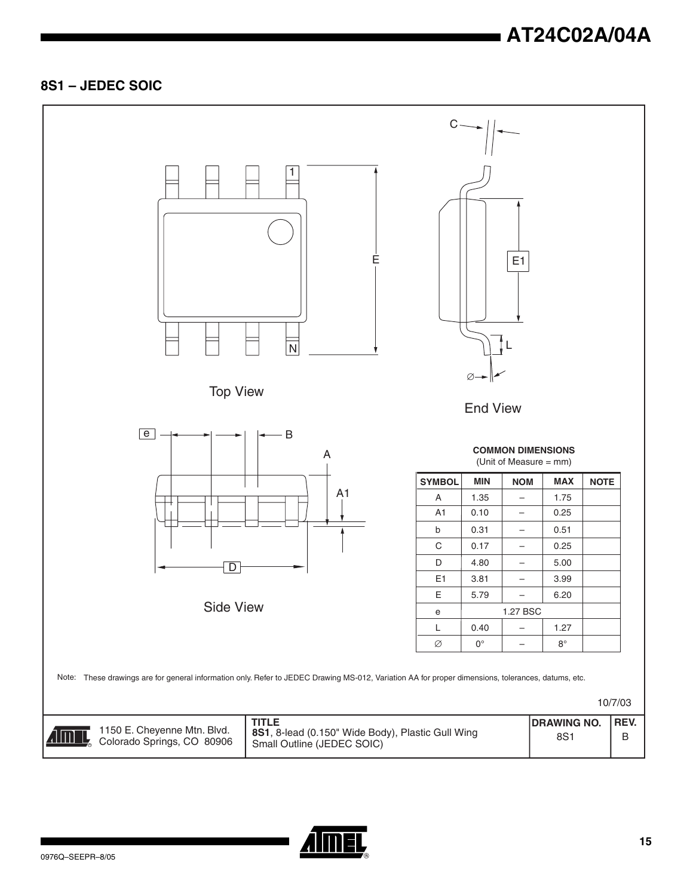## **8S1 – JEDEC SOIC**



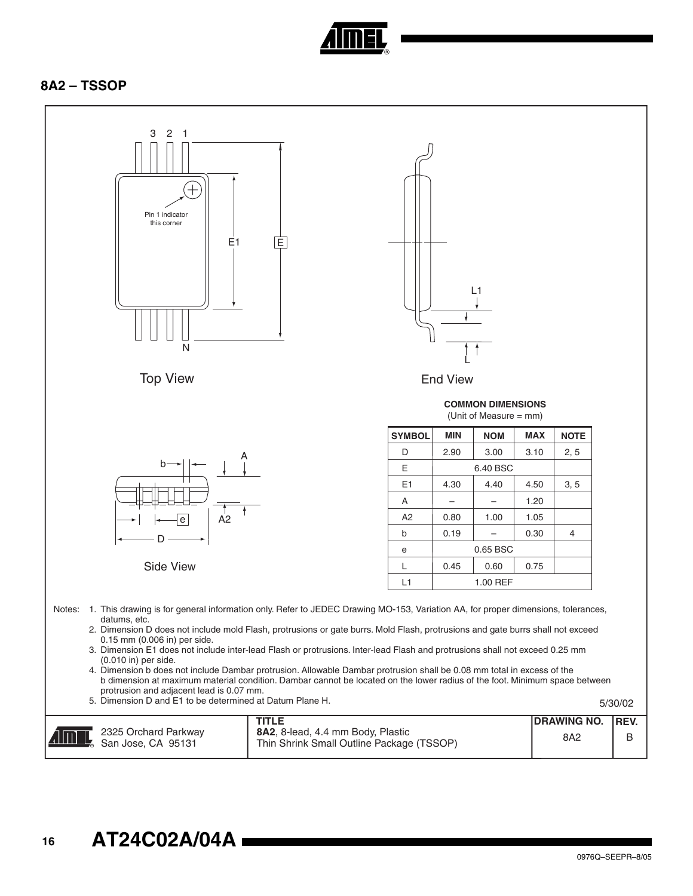

## **8A2 – TSSOP**

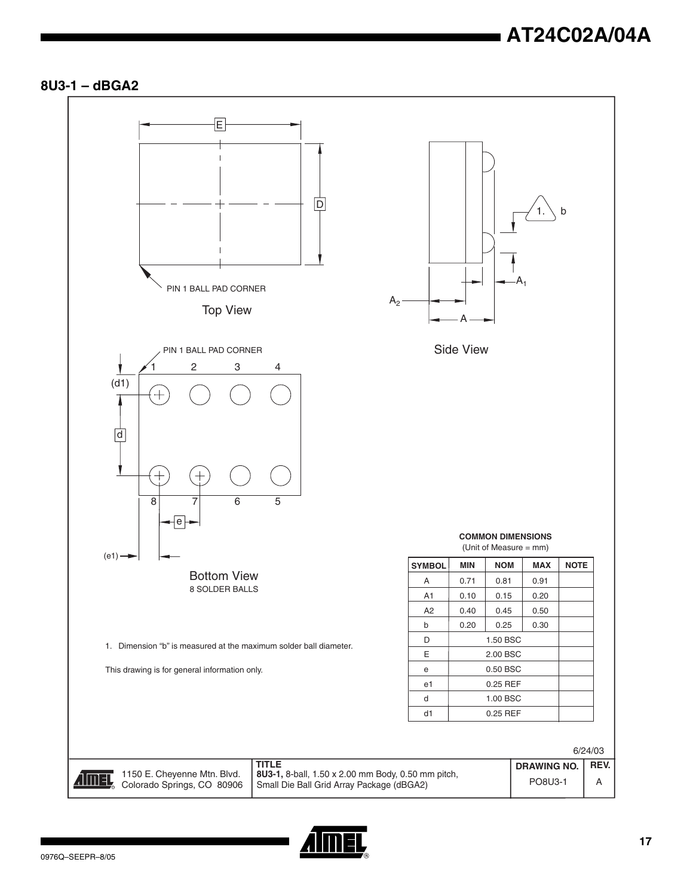## **8U3-1 – dBGA2**



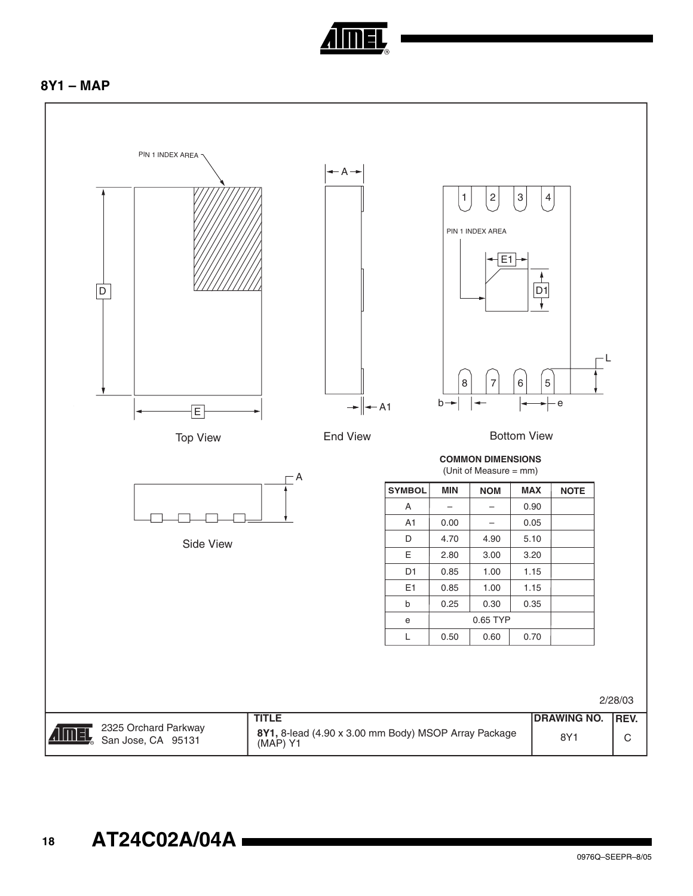

## **8Y1 – MAP**

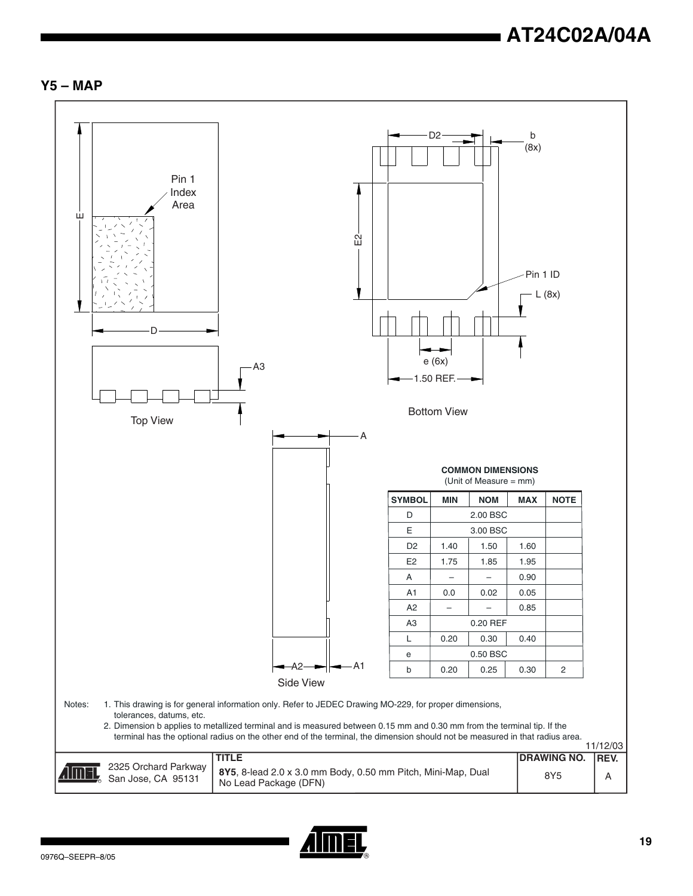